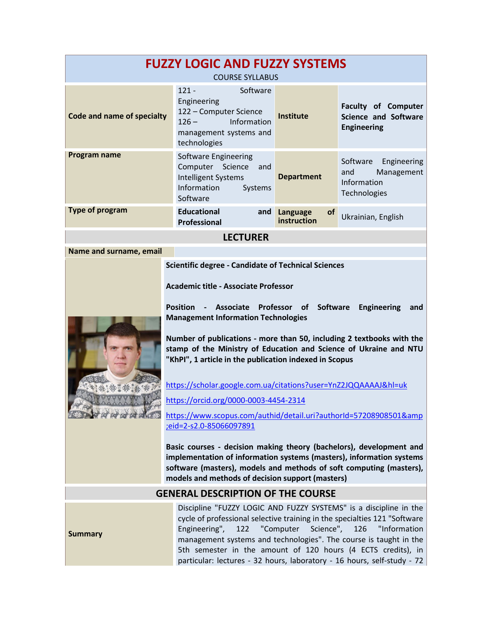| <b>FUZZY LOGIC AND FUZZY SYSTEMS</b><br><b>COURSE SYLLABUS</b>                                                                                                                                                                                                                                 |                                                                                                                                                                                                                                                                                                                                                                                                                                                                                                                                                                                                                                                                                                                                                                                                                                                                                                      |                                           |                                                                                 |  |  |  |
|------------------------------------------------------------------------------------------------------------------------------------------------------------------------------------------------------------------------------------------------------------------------------------------------|------------------------------------------------------------------------------------------------------------------------------------------------------------------------------------------------------------------------------------------------------------------------------------------------------------------------------------------------------------------------------------------------------------------------------------------------------------------------------------------------------------------------------------------------------------------------------------------------------------------------------------------------------------------------------------------------------------------------------------------------------------------------------------------------------------------------------------------------------------------------------------------------------|-------------------------------------------|---------------------------------------------------------------------------------|--|--|--|
| Code and name of specialty                                                                                                                                                                                                                                                                     | $121 -$<br>Software<br>Engineering<br>122 - Computer Science<br>$126 -$<br>Information<br>management systems and<br>technologies                                                                                                                                                                                                                                                                                                                                                                                                                                                                                                                                                                                                                                                                                                                                                                     | <b>Institute</b>                          | <b>Faculty of Computer</b><br><b>Science and Software</b><br><b>Engineering</b> |  |  |  |
| Program name                                                                                                                                                                                                                                                                                   | Software Engineering<br>Computer Science<br>and<br><b>Intelligent Systems</b><br>Information<br>Systems<br>Software                                                                                                                                                                                                                                                                                                                                                                                                                                                                                                                                                                                                                                                                                                                                                                                  | <b>Department</b>                         | Software<br>Engineering<br>Management<br>and<br>Information<br>Technologies     |  |  |  |
| <b>Type of program</b>                                                                                                                                                                                                                                                                         | <b>Educational</b><br>and<br><b>Professional</b>                                                                                                                                                                                                                                                                                                                                                                                                                                                                                                                                                                                                                                                                                                                                                                                                                                                     | Language<br><b>of</b><br>instruction      | Ukrainian, English                                                              |  |  |  |
|                                                                                                                                                                                                                                                                                                | <b>LECTURER</b>                                                                                                                                                                                                                                                                                                                                                                                                                                                                                                                                                                                                                                                                                                                                                                                                                                                                                      |                                           |                                                                                 |  |  |  |
| Name and surname, email                                                                                                                                                                                                                                                                        |                                                                                                                                                                                                                                                                                                                                                                                                                                                                                                                                                                                                                                                                                                                                                                                                                                                                                                      |                                           |                                                                                 |  |  |  |
|                                                                                                                                                                                                                                                                                                | <b>Scientific degree - Candidate of Technical Sciences</b><br><b>Academic title - Associate Professor</b><br><b>Position</b><br>Associate<br>$\blacksquare$<br><b>Management Information Technologies</b><br>Number of publications - more than 50, including 2 textbooks with the<br>stamp of the Ministry of Education and Science of Ukraine and NTU<br>"KhPI", 1 article in the publication indexed in Scopus<br>https://scholar.google.com.ua/citations?user=YnZ2JQQAAAAJ&hl=uk<br>https://orcid.org/0000-0003-4454-2314<br>https://www.scopus.com/authid/detail.uri?authorId=57208908501&<br>eid=2-s2.0-85066097891;<br>Basic courses - decision making theory (bachelors), development and<br>implementation of information systems (masters), information systems<br>software (masters), models and methods of soft computing (masters),<br>models and methods of decision support (masters) | Professor<br><b>of</b><br><b>Software</b> | <b>Engineering</b><br>and                                                       |  |  |  |
|                                                                                                                                                                                                                                                                                                | <b>GENERAL DESCRIPTION OF THE COURSE</b>                                                                                                                                                                                                                                                                                                                                                                                                                                                                                                                                                                                                                                                                                                                                                                                                                                                             |                                           |                                                                                 |  |  |  |
| Discipline "FUZZY LOGIC AND FUZZY SYSTEMS" is a discipline in the<br>cycle of professional selective training in the specialties 121 "Software<br>Science",<br>Engineering",<br>"Computer<br>126<br>122<br><b>Summary</b><br>management systems and technologies". The course is taught in the |                                                                                                                                                                                                                                                                                                                                                                                                                                                                                                                                                                                                                                                                                                                                                                                                                                                                                                      |                                           | "Information                                                                    |  |  |  |

5th semester in the amount of 120 hours (4 ECTS credits), in particular: lectures - 32 hours, laboratory - 16 hours, self-study - 72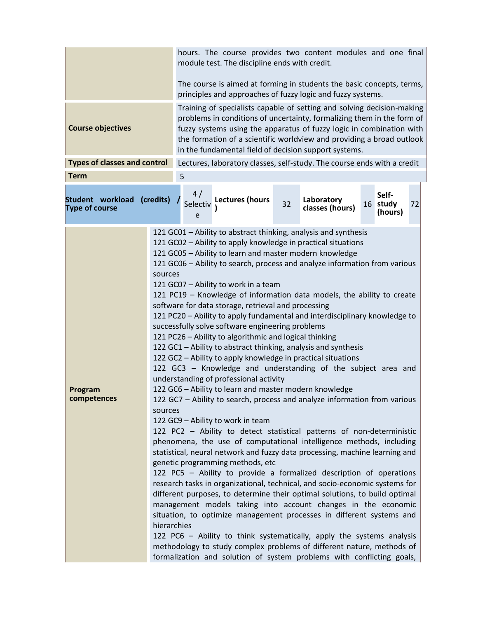|                                           |                                   | hours. The course provides two content modules and one final<br>module test. The discipline ends with credit.                                                                                                                                                                                                                                              |                                                                                                                                                                                                                                                                                                                                                                                                                                                                                                                                                                                                                                                                                                                                                                                                                                                                                                                                                                                                                                                                                                                                                                                                                                                                                                                                                                                                                                                                                                                                                                                                                                                                                                                                                                                                                                                                                                                                                    |    |                               |  |                              |    |
|-------------------------------------------|-----------------------------------|------------------------------------------------------------------------------------------------------------------------------------------------------------------------------------------------------------------------------------------------------------------------------------------------------------------------------------------------------------|----------------------------------------------------------------------------------------------------------------------------------------------------------------------------------------------------------------------------------------------------------------------------------------------------------------------------------------------------------------------------------------------------------------------------------------------------------------------------------------------------------------------------------------------------------------------------------------------------------------------------------------------------------------------------------------------------------------------------------------------------------------------------------------------------------------------------------------------------------------------------------------------------------------------------------------------------------------------------------------------------------------------------------------------------------------------------------------------------------------------------------------------------------------------------------------------------------------------------------------------------------------------------------------------------------------------------------------------------------------------------------------------------------------------------------------------------------------------------------------------------------------------------------------------------------------------------------------------------------------------------------------------------------------------------------------------------------------------------------------------------------------------------------------------------------------------------------------------------------------------------------------------------------------------------------------------------|----|-------------------------------|--|------------------------------|----|
|                                           |                                   | The course is aimed at forming in students the basic concepts, terms,<br>principles and approaches of fuzzy logic and fuzzy systems.                                                                                                                                                                                                                       |                                                                                                                                                                                                                                                                                                                                                                                                                                                                                                                                                                                                                                                                                                                                                                                                                                                                                                                                                                                                                                                                                                                                                                                                                                                                                                                                                                                                                                                                                                                                                                                                                                                                                                                                                                                                                                                                                                                                                    |    |                               |  |                              |    |
| <b>Course objectives</b>                  |                                   | Training of specialists capable of setting and solving decision-making<br>problems in conditions of uncertainty, formalizing them in the form of<br>fuzzy systems using the apparatus of fuzzy logic in combination with<br>the formation of a scientific worldview and providing a broad outlook<br>in the fundamental field of decision support systems. |                                                                                                                                                                                                                                                                                                                                                                                                                                                                                                                                                                                                                                                                                                                                                                                                                                                                                                                                                                                                                                                                                                                                                                                                                                                                                                                                                                                                                                                                                                                                                                                                                                                                                                                                                                                                                                                                                                                                                    |    |                               |  |                              |    |
| <b>Types of classes and control</b>       |                                   |                                                                                                                                                                                                                                                                                                                                                            | Lectures, laboratory classes, self-study. The course ends with a credit                                                                                                                                                                                                                                                                                                                                                                                                                                                                                                                                                                                                                                                                                                                                                                                                                                                                                                                                                                                                                                                                                                                                                                                                                                                                                                                                                                                                                                                                                                                                                                                                                                                                                                                                                                                                                                                                            |    |                               |  |                              |    |
| <b>Term</b>                               |                                   | 5                                                                                                                                                                                                                                                                                                                                                          |                                                                                                                                                                                                                                                                                                                                                                                                                                                                                                                                                                                                                                                                                                                                                                                                                                                                                                                                                                                                                                                                                                                                                                                                                                                                                                                                                                                                                                                                                                                                                                                                                                                                                                                                                                                                                                                                                                                                                    |    |                               |  |                              |    |
| Student workload<br><b>Type of course</b> | (credits)                         | 4/<br>Selectiv<br>e                                                                                                                                                                                                                                                                                                                                        | <b>Lectures (hours</b>                                                                                                                                                                                                                                                                                                                                                                                                                                                                                                                                                                                                                                                                                                                                                                                                                                                                                                                                                                                                                                                                                                                                                                                                                                                                                                                                                                                                                                                                                                                                                                                                                                                                                                                                                                                                                                                                                                                             | 32 | Laboratory<br>classes (hours) |  | Self-<br>16 study<br>(hours) | 72 |
| Program<br>competences                    | sources<br>sources<br>hierarchies |                                                                                                                                                                                                                                                                                                                                                            | 121 GC01 - Ability to abstract thinking, analysis and synthesis<br>121 GC02 - Ability to apply knowledge in practical situations<br>121 GC05 - Ability to learn and master modern knowledge<br>121 GC06 - Ability to search, process and analyze information from various<br>121 GC07 - Ability to work in a team<br>121 PC19 - Knowledge of information data models, the ability to create<br>software for data storage, retrieval and processing<br>121 PC20 - Ability to apply fundamental and interdisciplinary knowledge to<br>successfully solve software engineering problems<br>121 PC26 - Ability to algorithmic and logical thinking<br>122 GC1 - Ability to abstract thinking, analysis and synthesis<br>122 GC2 - Ability to apply knowledge in practical situations<br>122 GC3 - Knowledge and understanding of the subject area and<br>understanding of professional activity<br>122 GC6 - Ability to learn and master modern knowledge<br>122 GC7 - Ability to search, process and analyze information from various<br>122 GC9 - Ability to work in team<br>122 PC2 - Ability to detect statistical patterns of non-deterministic<br>phenomena, the use of computational intelligence methods, including<br>statistical, neural network and fuzzy data processing, machine learning and<br>genetic programming methods, etc<br>122 PC5 - Ability to provide a formalized description of operations<br>research tasks in organizational, technical, and socio-economic systems for<br>different purposes, to determine their optimal solutions, to build optimal<br>management models taking into account changes in the economic<br>situation, to optimize management processes in different systems and<br>122 PC6 - Ability to think systematically, apply the systems analysis<br>methodology to study complex problems of different nature, methods of<br>formalization and solution of system problems with conflicting goals, |    |                               |  |                              |    |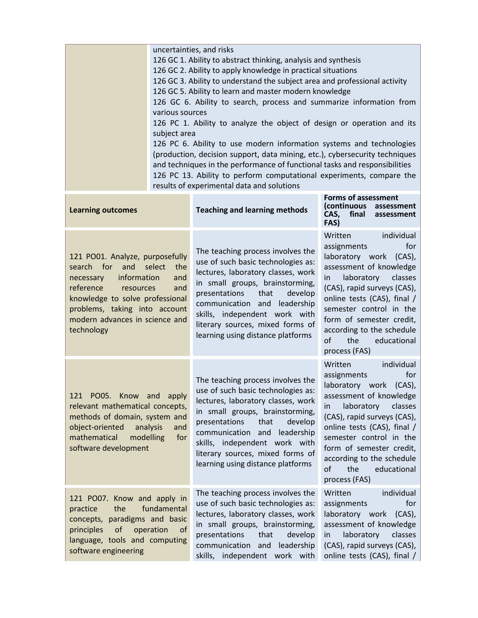|                                                                                                                                                                                                                                                               | subject area<br>results of experimental data and solutions | uncertainties, and risks<br>126 GC 1. Ability to abstract thinking, analysis and synthesis<br>126 GC 2. Ability to apply knowledge in practical situations<br>126 GC 3. Ability to understand the subject area and professional activity<br>126 GC 5. Ability to learn and master modern knowledge<br>126 GC 6. Ability to search, process and summarize information from<br>various sources<br>126 PC 1. Ability to analyze the object of design or operation and its<br>126 PC 6. Ability to use modern information systems and technologies<br>(production, decision support, data mining, etc.), cybersecurity techniques<br>and techniques in the performance of functional tasks and responsibilities<br>126 PC 13. Ability to perform computational experiments, compare the |                                                                                                                                                                                                                                                                                                                                 |  |  |  |
|---------------------------------------------------------------------------------------------------------------------------------------------------------------------------------------------------------------------------------------------------------------|------------------------------------------------------------|-------------------------------------------------------------------------------------------------------------------------------------------------------------------------------------------------------------------------------------------------------------------------------------------------------------------------------------------------------------------------------------------------------------------------------------------------------------------------------------------------------------------------------------------------------------------------------------------------------------------------------------------------------------------------------------------------------------------------------------------------------------------------------------|---------------------------------------------------------------------------------------------------------------------------------------------------------------------------------------------------------------------------------------------------------------------------------------------------------------------------------|--|--|--|
| <b>Learning outcomes</b>                                                                                                                                                                                                                                      |                                                            | <b>Teaching and learning methods</b>                                                                                                                                                                                                                                                                                                                                                                                                                                                                                                                                                                                                                                                                                                                                                | <b>Forms of assessment</b><br>(continuous assessment<br>CAS,<br>final<br>assessment<br>FAS)                                                                                                                                                                                                                                     |  |  |  |
| 121 PO01. Analyze, purposefully<br>search for<br>select<br>and<br>the<br>information<br>necessary<br>and<br>reference<br>resources<br>and<br>knowledge to solve professional<br>problems, taking into account<br>modern advances in science and<br>technology |                                                            | The teaching process involves the<br>use of such basic technologies as:<br>lectures, laboratory classes, work<br>in small groups, brainstorming,<br>presentations<br>that<br>develop<br>communication and<br>leadership<br>skills, independent work with<br>literary sources, mixed forms of<br>learning using distance platforms                                                                                                                                                                                                                                                                                                                                                                                                                                                   | individual<br>Written<br>for<br>assignments<br>laboratory work (CAS),<br>assessment of knowledge<br>laboratory<br>classes<br>in.<br>(CAS), rapid surveys (CAS),<br>online tests (CAS), final /<br>semester control in the<br>form of semester credit,<br>according to the schedule<br>of<br>the<br>educational<br>process (FAS) |  |  |  |
| 121 PO05. Know and<br>apply<br>relevant mathematical concepts,<br>methods of domain, system and<br>object-oriented<br>analysis<br>and<br>mathematical<br>modelling<br>for<br>software development                                                             |                                                            | The teaching process involves the<br>use of such basic technologies as:<br>lectures, laboratory classes, work<br>in small groups, brainstorming,<br>presentations<br>that<br>develop<br>communication and<br>leadership<br>skills, independent work with<br>literary sources, mixed forms of<br>learning using distance platforms                                                                                                                                                                                                                                                                                                                                                                                                                                                   | individual<br>Written<br>for<br>assignments<br>laboratory work (CAS),<br>assessment of knowledge<br>classes<br>laboratory<br>in.<br>(CAS), rapid surveys (CAS),<br>online tests (CAS), final /<br>semester control in the<br>form of semester credit,<br>according to the schedule<br>of<br>the<br>educational<br>process (FAS) |  |  |  |
| 121 PO07. Know and apply in<br>fundamental<br>the<br>practice<br>concepts, paradigms and basic<br>principles<br>of<br>operation<br><b>of</b><br>language, tools and computing<br>software engineering                                                         |                                                            | The teaching process involves the<br>use of such basic technologies as:<br>lectures, laboratory classes, work<br>in small groups, brainstorming,<br>presentations<br>that<br>develop<br>communication and<br>leadership<br>skills, independent work with                                                                                                                                                                                                                                                                                                                                                                                                                                                                                                                            | Written<br>individual<br>for<br>assignments<br>laboratory work (CAS),<br>assessment of knowledge<br>laboratory<br>classes<br>in<br>(CAS), rapid surveys (CAS),<br>online tests (CAS), final /                                                                                                                                   |  |  |  |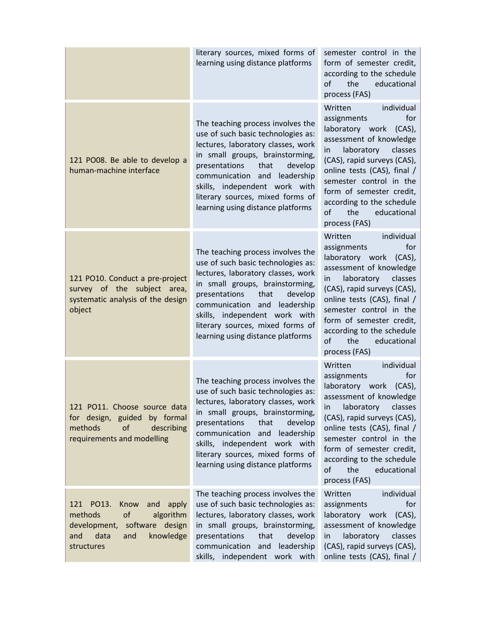|                                                                                                                                                     | literary sources, mixed forms of<br>learning using distance platforms                                                                                                                                                                                                                                                             | semester control in the<br>form of semester credit,<br>according to the schedule<br>the<br>educational<br>of<br>process (FAS)                                                                                                                                                                                                   |
|-----------------------------------------------------------------------------------------------------------------------------------------------------|-----------------------------------------------------------------------------------------------------------------------------------------------------------------------------------------------------------------------------------------------------------------------------------------------------------------------------------|---------------------------------------------------------------------------------------------------------------------------------------------------------------------------------------------------------------------------------------------------------------------------------------------------------------------------------|
| 121 PO08. Be able to develop a<br>human-machine interface                                                                                           | The teaching process involves the<br>use of such basic technologies as:<br>lectures, laboratory classes, work<br>in small groups, brainstorming,<br>presentations<br>that<br>develop<br>communication and leadership<br>skills, independent work with<br>literary sources, mixed forms of<br>learning using distance platforms    | individual<br>Written<br>for<br>assignments<br>laboratory work (CAS),<br>assessment of knowledge<br>laboratory<br>classes<br>in<br>(CAS), rapid surveys (CAS),<br>online tests (CAS), final /<br>semester control in the<br>form of semester credit,<br>according to the schedule<br>of<br>educational<br>the<br>process (FAS)  |
| 121 PO10. Conduct a pre-project<br>survey of the subject area,<br>systematic analysis of the design<br>object                                       | The teaching process involves the<br>use of such basic technologies as:<br>lectures, laboratory classes, work<br>in small groups, brainstorming,<br>presentations<br>that<br>develop<br>communication and<br>leadership<br>skills, independent work with<br>literary sources, mixed forms of<br>learning using distance platforms | individual<br>Written<br>for<br>assignments<br>laboratory work (CAS),<br>assessment of knowledge<br>laboratory<br>classes<br>in<br>(CAS), rapid surveys (CAS),<br>online tests (CAS), final /<br>semester control in the<br>form of semester credit,<br>according to the schedule<br>the<br>educational<br>of<br>process (FAS)  |
| 121 PO11. Choose source data<br>for design, guided<br>by formal<br>of<br>methods<br>describing<br>requirements and modelling                        | The teaching process involves the<br>use of such basic technologies as:<br>lectures, laboratory classes, work<br>in small groups, brainstorming,<br>presentations<br>that<br>develop<br>communication and leadership<br>skills, independent work with<br>literary sources, mixed forms of<br>learning using distance platforms    | individual<br>Written<br>for<br>assignments<br>laboratory work (CAS),<br>assessment of knowledge<br>laboratory<br>classes<br>in.<br>(CAS), rapid surveys (CAS),<br>online tests (CAS), final /<br>semester control in the<br>form of semester credit,<br>according to the schedule<br>of<br>the<br>educational<br>process (FAS) |
| 121 PO13.<br>Know<br>and<br>apply<br>of<br>algorithm<br>methods<br>development,<br>software design<br>knowledge<br>data<br>and<br>and<br>structures | The teaching process involves the<br>use of such basic technologies as:<br>lectures, laboratory classes, work<br>in small groups, brainstorming,<br>presentations<br>that<br>develop<br>communication and<br>leadership<br>skills, independent work with                                                                          | individual<br>Written<br>for<br>assignments<br>laboratory work<br>$(CAS)$ ,<br>assessment of knowledge<br>laboratory<br>classes<br>in<br>(CAS), rapid surveys (CAS),<br>online tests (CAS), final /                                                                                                                             |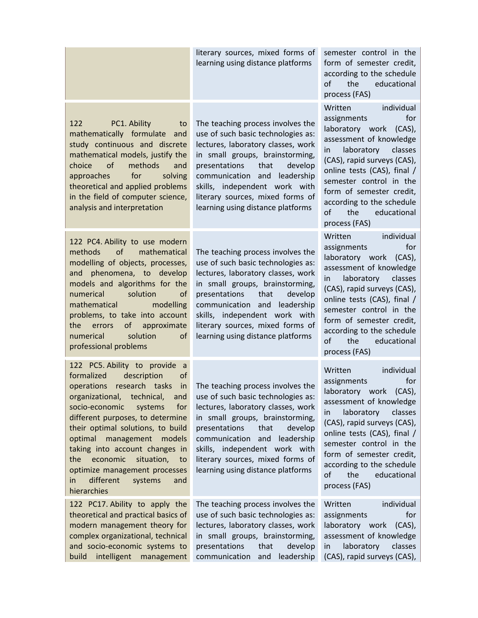|                                                                                                                                                                                                                                                                                                                                                                                                                                                                      | literary sources, mixed forms of<br>learning using distance platforms                                                                                                                                                                                                                                                                | semester control in the<br>form of semester credit,<br>according to the schedule<br>the<br>educational<br>οf<br>process (FAS)                                                                                                                                                                                                   |
|----------------------------------------------------------------------------------------------------------------------------------------------------------------------------------------------------------------------------------------------------------------------------------------------------------------------------------------------------------------------------------------------------------------------------------------------------------------------|--------------------------------------------------------------------------------------------------------------------------------------------------------------------------------------------------------------------------------------------------------------------------------------------------------------------------------------|---------------------------------------------------------------------------------------------------------------------------------------------------------------------------------------------------------------------------------------------------------------------------------------------------------------------------------|
| 122<br>PC1. Ability<br>to<br>mathematically formulate and<br>study continuous and discrete<br>mathematical models, justify the<br>of<br>methods<br>choice<br>and<br>for<br>approaches<br>solving<br>theoretical and applied problems<br>in the field of computer science,<br>analysis and interpretation                                                                                                                                                             | The teaching process involves the<br>use of such basic technologies as:<br>lectures, laboratory classes, work<br>in small groups, brainstorming,<br>presentations<br>that<br>develop<br>communication and<br>leadership<br>skills, independent work with<br>literary sources, mixed forms of<br>learning using distance platforms    | individual<br>Written<br>for<br>assignments<br>laboratory work (CAS),<br>assessment of knowledge<br>classes<br>laboratory<br>in<br>(CAS), rapid surveys (CAS),<br>online tests (CAS), final /<br>semester control in the<br>form of semester credit,<br>according to the schedule<br>the<br>educational<br>οf<br>process (FAS)  |
| 122 PC4. Ability to use modern<br>of<br>mathematical<br>methods<br>modelling of objects, processes,<br>and phenomena, to develop<br>models and algorithms for the<br>solution<br>numerical<br>of<br>mathematical<br>modelling<br>problems, to take into account<br>of<br>the<br>errors<br>approximate<br>solution<br>of<br>numerical<br>professional problems                                                                                                        | The teaching process involves the<br>use of such basic technologies as:<br>lectures, laboratory classes, work<br>in small groups, brainstorming,<br>presentations<br>that<br>develop<br>communication and<br>leadership<br>skills, independent work with<br>literary sources, mixed forms of<br>learning using distance platforms    | individual<br>Written<br>assignments<br>for<br>laboratory work (CAS),<br>assessment of knowledge<br>laboratory<br>classes<br>in.<br>(CAS), rapid surveys (CAS),<br>online tests (CAS), final /<br>semester control in the<br>form of semester credit,<br>according to the schedule<br>the<br>educational<br>οf<br>process (FAS) |
| 122 PC5. Ability to provide<br>a a<br>formalized<br>description<br>of<br>operations<br>research<br>tasks<br>in<br>organizational,<br>technical,<br>and<br>socio-economic<br>systems<br>for<br>different purposes, to determine<br>their optimal solutions, to build<br>optimal<br>management<br>models<br>taking into account changes in<br>economic<br>situation,<br>the<br>to<br>optimize management processes<br>different<br>systems<br>in<br>and<br>hierarchies | The teaching process involves the<br>use of such basic technologies as:<br>lectures, laboratory classes, work<br>in small groups, brainstorming,<br>presentations<br>that<br>develop<br>communication<br>and<br>leadership<br>skills, independent work with<br>literary sources, mixed forms of<br>learning using distance platforms | individual<br>Written<br>for<br>assignments<br>laboratory work (CAS),<br>assessment of knowledge<br>laboratory<br>classes<br>in.<br>(CAS), rapid surveys (CAS),<br>online tests (CAS), final /<br>semester control in the<br>form of semester credit,<br>according to the schedule<br>educational<br>οf<br>the<br>process (FAS) |
| 122 PC17. Ability to apply the<br>theoretical and practical basics of<br>modern management theory for<br>complex organizational, technical<br>and socio-economic systems to<br>intelligent<br>build<br>management                                                                                                                                                                                                                                                    | The teaching process involves the<br>use of such basic technologies as:<br>lectures, laboratory classes, work<br>in small groups, brainstorming,<br>presentations<br>that<br>develop<br>leadership<br>communication<br>and                                                                                                           | individual<br>Written<br>assignments<br>for<br>laboratory work<br>$(CAS)$ ,<br>assessment of knowledge<br>laboratory<br>classes<br>in<br>(CAS), rapid surveys (CAS),                                                                                                                                                            |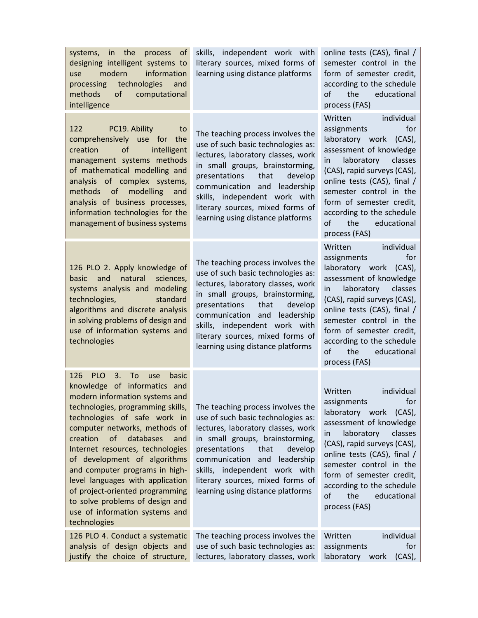| systems, in the<br>process<br><sub>of</sub><br>designing intelligent systems to<br>information<br>modern<br>use<br>technologies<br>processing<br>and<br>methods<br>of<br>computational<br>intelligence                                                                                                                                                                                                                                                                                                                               | skills, independent work with<br>literary sources, mixed forms of<br>learning using distance platforms                                                                                                                                                                                                                               | online tests (CAS), final /<br>semester control in the<br>form of semester credit,<br>according to the schedule<br>educational<br>οf<br>the<br>process (FAS)                                                                                                                                                                         |
|--------------------------------------------------------------------------------------------------------------------------------------------------------------------------------------------------------------------------------------------------------------------------------------------------------------------------------------------------------------------------------------------------------------------------------------------------------------------------------------------------------------------------------------|--------------------------------------------------------------------------------------------------------------------------------------------------------------------------------------------------------------------------------------------------------------------------------------------------------------------------------------|--------------------------------------------------------------------------------------------------------------------------------------------------------------------------------------------------------------------------------------------------------------------------------------------------------------------------------------|
| 122<br>PC19. Ability<br>to<br>comprehensively use for the<br>intelligent<br>of<br>creation<br>management systems methods<br>of mathematical modelling and<br>analysis of complex systems,<br>methods of modelling<br>and<br>analysis of business processes,<br>information technologies for the<br>management of business systems                                                                                                                                                                                                    | The teaching process involves the<br>use of such basic technologies as:<br>lectures, laboratory classes, work<br>in small groups, brainstorming,<br>presentations<br>that<br>develop<br>communication and<br>leadership<br>skills, independent work with<br>literary sources, mixed forms of<br>learning using distance platforms    | Written<br>individual<br>for<br>assignments<br>laboratory work (CAS),<br>assessment of knowledge<br>classes<br>laboratory<br>in<br>(CAS), rapid surveys (CAS),<br>online tests (CAS), final /<br>semester control in the<br>form of semester credit,<br>according to the schedule<br>of<br>the<br>educational<br>process (FAS)       |
| 126 PLO 2. Apply knowledge of<br>natural<br>and<br>sciences,<br>basic<br>systems analysis and modeling<br>standard<br>technologies,<br>algorithms and discrete analysis<br>in solving problems of design and<br>use of information systems and<br>technologies                                                                                                                                                                                                                                                                       | The teaching process involves the<br>use of such basic technologies as:<br>lectures, laboratory classes, work<br>in small groups, brainstorming,<br>presentations<br>that<br>develop<br>communication and<br>leadership<br>skills, independent work with<br>literary sources, mixed forms of<br>learning using distance platforms    | individual<br>Written<br>for<br>assignments<br>laboratory work (CAS),<br>assessment of knowledge<br>classes<br>laboratory<br>in<br>(CAS), rapid surveys (CAS),<br>online tests (CAS), final /<br>semester control in the<br>form of semester credit,<br>according to the schedule<br>the<br>educational<br>οf<br>process (FAS)       |
| 126<br><b>PLO</b><br>3.<br>To<br>use<br>basic<br>knowledge of informatics and<br>modern information systems and<br>technologies, programming skills,<br>technologies of safe work in<br>computer networks, methods of<br>creation<br><b>of</b><br>databases<br>and<br>Internet resources, technologies<br>of development of algorithms<br>and computer programs in high-<br>level languages with application<br>of project-oriented programming<br>to solve problems of design and<br>use of information systems and<br>technologies | The teaching process involves the<br>use of such basic technologies as:<br>lectures, laboratory classes, work<br>in small groups, brainstorming,<br>presentations<br>that<br>develop<br>communication<br>leadership<br>and<br>skills, independent work with<br>literary sources, mixed forms of<br>learning using distance platforms | Written<br>individual<br>assignments<br>for<br>laboratory work<br>$(CAS)$ ,<br>assessment of knowledge<br>classes<br>laboratory<br>in<br>(CAS), rapid surveys (CAS),<br>online tests (CAS), final /<br>semester control in the<br>form of semester credit,<br>according to the schedule<br>the<br>educational<br>of<br>process (FAS) |
| 126 PLO 4. Conduct a systematic<br>analysis of design objects and<br>justify the choice of structure,                                                                                                                                                                                                                                                                                                                                                                                                                                | The teaching process involves the<br>use of such basic technologies as:<br>lectures, laboratory classes, work                                                                                                                                                                                                                        | Written<br>individual<br>assignments<br>for<br>laboratory<br>$(CAS)$ ,<br>work                                                                                                                                                                                                                                                       |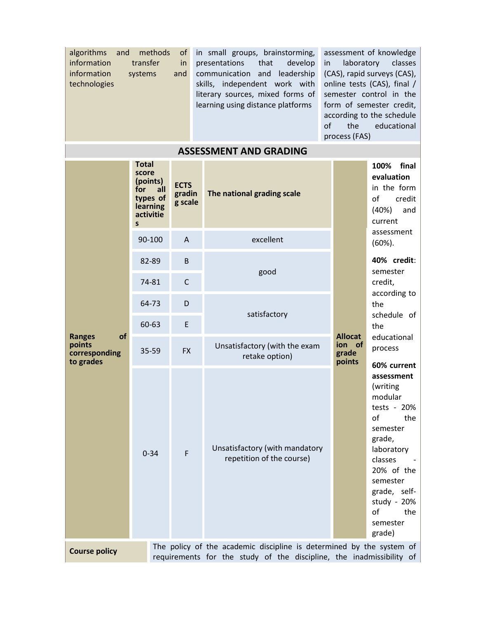| algorithms<br>and<br>information<br>information<br>technologies                                                                                                      | methods<br>transfer<br>systems | of<br>in<br>and                  | in small groups, brainstorming,<br>presentations<br>that<br>develop<br>in.<br>communication and<br>leadership<br>skills, independent work with<br>literary sources, mixed forms of<br>learning using distance platforms<br>of | assessment of knowledge<br>laboratory<br>classes<br>(CAS), rapid surveys (CAS),<br>online tests (CAS), final /<br>semester control in the<br>form of semester credit,<br>according to the schedule<br>educational<br>process (FAS) |                                                                                                                                                                                                            |  |
|----------------------------------------------------------------------------------------------------------------------------------------------------------------------|--------------------------------|----------------------------------|-------------------------------------------------------------------------------------------------------------------------------------------------------------------------------------------------------------------------------|------------------------------------------------------------------------------------------------------------------------------------------------------------------------------------------------------------------------------------|------------------------------------------------------------------------------------------------------------------------------------------------------------------------------------------------------------|--|
|                                                                                                                                                                      |                                |                                  | <b>ASSESSMENT AND GRADING</b>                                                                                                                                                                                                 |                                                                                                                                                                                                                                    |                                                                                                                                                                                                            |  |
| <b>Total</b><br>score<br>(points)<br>for<br>all<br>types of<br>learning<br>activitie<br>S                                                                            |                                | <b>ECTS</b><br>gradin<br>g scale | The national grading scale                                                                                                                                                                                                    |                                                                                                                                                                                                                                    | 100%<br>final<br>evaluation<br>in the form<br>of<br>credit<br>(40%)<br>and<br>current                                                                                                                      |  |
|                                                                                                                                                                      | 90-100                         | $\Lambda$                        | excellent                                                                                                                                                                                                                     |                                                                                                                                                                                                                                    | assessment<br>$(60\%)$ .                                                                                                                                                                                   |  |
| of<br><b>Ranges</b><br>points<br>corresponding<br>to grades                                                                                                          | 82-89<br>74-81                 | B<br>$\mathsf{C}$                | good                                                                                                                                                                                                                          |                                                                                                                                                                                                                                    | 40% credit:<br>semester<br>credit,                                                                                                                                                                         |  |
|                                                                                                                                                                      | 64-73                          | D                                |                                                                                                                                                                                                                               |                                                                                                                                                                                                                                    | according to<br>the                                                                                                                                                                                        |  |
|                                                                                                                                                                      | 60-63                          | E                                | satisfactory                                                                                                                                                                                                                  |                                                                                                                                                                                                                                    | schedule of<br>the                                                                                                                                                                                         |  |
|                                                                                                                                                                      | 35-59                          | <b>FX</b>                        | <b>Allocat</b><br>ion of<br>Unsatisfactory (with the exam<br>grade<br>retake option)<br>points                                                                                                                                |                                                                                                                                                                                                                                    | educational<br>process<br>60% current                                                                                                                                                                      |  |
|                                                                                                                                                                      | $0 - 34$                       | F                                | Unsatisfactory (with mandatory<br>repetition of the course)                                                                                                                                                                   |                                                                                                                                                                                                                                    | assessment<br>(writing<br>modular<br>tests - $20%$<br>of<br>the<br>semester<br>grade,<br>laboratory<br>classes<br>20% of the<br>semester<br>grade, self-<br>study - 20%<br>of<br>the<br>semester<br>grade) |  |
| The policy of the academic discipline is determined by the system of<br><b>Course policy</b><br>requirements for the study of the discipline, the inadmissibility of |                                |                                  |                                                                                                                                                                                                                               |                                                                                                                                                                                                                                    |                                                                                                                                                                                                            |  |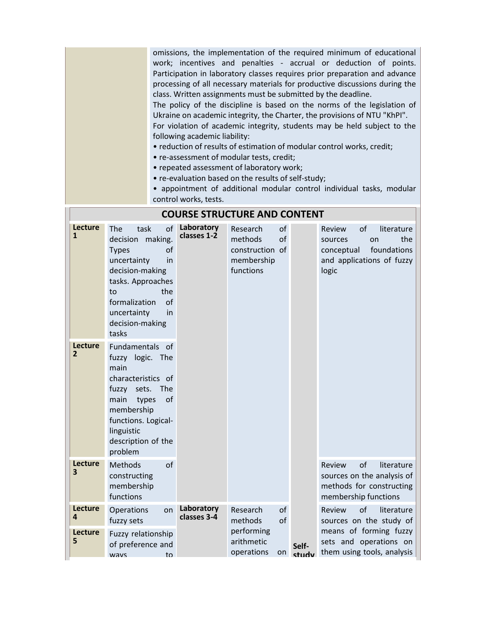omissions, the implementation of the required minimum of educational work; incentives and penalties - accrual or deduction of points. Participation in laboratory classes requires prior preparation and advance processing of all necessary materials for productive discussions during the class. Written assignments must be submitted by the deadline.

The policy of the discipline is based on the norms of the legislation of Ukraine on academic integrity, the Charter, the provisions of NTU "KhPI". For violation of academic integrity, students may be held subject to the following academic liability:

- reduction of results of estimation of modular control works, credit;
- re-assessment of modular tests, credit;
- repeated assessment of laboratory work;
- re-evaluation based on the results of self-study;

• appointment of additional modular control individual tasks, modular control works, tests.

|                                  |                                                                                                                                                                                                                        |                           | UUNJL JIINUCTUNL AND                                              |                      |                                                                                                                       |
|----------------------------------|------------------------------------------------------------------------------------------------------------------------------------------------------------------------------------------------------------------------|---------------------------|-------------------------------------------------------------------|----------------------|-----------------------------------------------------------------------------------------------------------------------|
| Lecture<br>$\mathbf{1}$          | The<br>of<br>task<br>making.<br>decision<br><b>Types</b><br>οf<br>uncertainty<br>in<br>decision-making<br>tasks. Approaches<br>the<br>to<br>formalization<br>$\Omega$<br>uncertainty<br>in<br>decision-making<br>tasks | Laboratory<br>classes 1-2 | Research<br>methods<br>construction of<br>membership<br>functions | of<br>of             | of<br>literature<br>Review<br>the<br>on<br>sources<br>foundations<br>conceptual<br>and applications of fuzzy<br>logic |
| <b>Lecture</b><br>$\overline{2}$ | Fundamentals of<br>fuzzy logic. The<br>main<br>characteristics of<br>fuzzy<br>sets. The<br>of<br>main<br>types<br>membership<br>functions. Logical-<br>linguistic<br>description of the<br>problem                     |                           |                                                                   |                      |                                                                                                                       |
| Lecture<br>3                     | of<br>Methods<br>constructing<br>membership<br>functions                                                                                                                                                               |                           |                                                                   |                      | of<br>Review<br>literature<br>sources on the analysis of<br>methods for constructing<br>membership functions          |
| Lecture<br>4                     | Operations<br>on<br>fuzzy sets                                                                                                                                                                                         | Laboratory<br>classes 3-4 | Research<br>methods                                               | of<br>of             | of<br>Review<br>literature<br>sources on the study of                                                                 |
| Lecture<br>5                     | Fuzzy relationship<br>of preference and<br>to<br>ways                                                                                                                                                                  |                           | performing<br>arithmetic<br>operations                            | Self-<br>on<br>study | means of forming fuzzy<br>sets and operations on<br>them using tools, analysis                                        |

## **COURSE STRUCTURE AND CONTENT**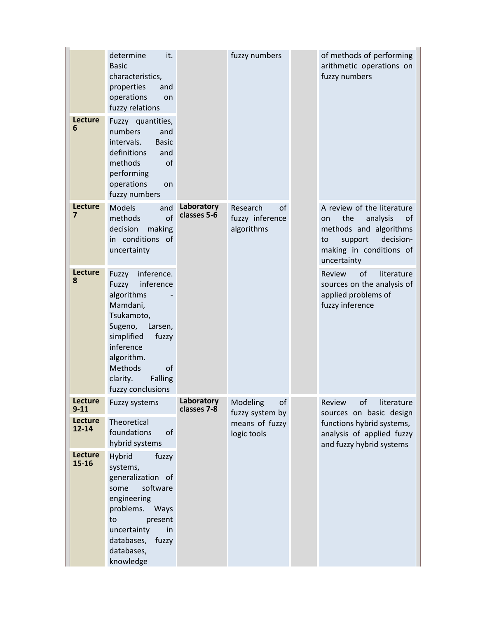|                            | determine<br>it.<br><b>Basic</b><br>characteristics,<br>properties<br>and<br>operations<br>on<br>fuzzy relations                                                                                                              |                           | fuzzy numbers                                   | of methods of performing<br>arithmetic operations on<br>fuzzy numbers                                                                                       |
|----------------------------|-------------------------------------------------------------------------------------------------------------------------------------------------------------------------------------------------------------------------------|---------------------------|-------------------------------------------------|-------------------------------------------------------------------------------------------------------------------------------------------------------------|
| Lecture<br>6               | Fuzzy quantities,<br>numbers<br>and<br>intervals.<br><b>Basic</b><br>definitions<br>and<br>methods<br>of<br>performing<br>operations<br>on<br>fuzzy numbers                                                                   |                           |                                                 |                                                                                                                                                             |
| Lecture<br>$\overline{7}$  | <b>Models</b><br>and<br>of<br>methods<br>decision<br>making<br>in conditions of<br>uncertainty                                                                                                                                | Laboratory<br>classes 5-6 | Research<br>of<br>fuzzy inference<br>algorithms | A review of the literature<br>the<br>analysis<br>οf<br>on<br>methods and algorithms<br>decision-<br>support<br>to<br>making in conditions of<br>uncertainty |
| Lecture<br>8               | inference.<br>Fuzzy<br>inference<br>Fuzzy<br>algorithms<br>Mamdani,<br>Tsukamoto,<br>Sugeno,<br>Larsen,<br>simplified<br>fuzzy<br>inference<br>algorithm.<br>Methods<br><b>of</b><br>clarity.<br>Falling<br>fuzzy conclusions |                           |                                                 | literature<br>Review<br>of<br>sources on the analysis of<br>applied problems of<br>fuzzy inference                                                          |
| <b>Lecture</b><br>$9 - 11$ | Fuzzy systems                                                                                                                                                                                                                 | Laboratory<br>classes 7-8 | Modeling<br>οf<br>fuzzy system by               | literature<br>Review<br>οf<br>sources on basic design                                                                                                       |
| <b>Lecture</b><br>12-14    | Theoretical<br>foundations<br>of<br>hybrid systems                                                                                                                                                                            |                           | means of fuzzy<br>logic tools                   | functions hybrid systems,<br>analysis of applied fuzzy<br>and fuzzy hybrid systems                                                                          |
| Lecture<br>$15 - 16$       | <b>Hybrid</b><br>fuzzy<br>systems,<br>generalization of<br>software<br>some<br>engineering<br>problems.<br>Ways<br>present<br>to<br>in<br>uncertainty<br>databases,<br>fuzzy<br>databases,<br>knowledge                       |                           |                                                 |                                                                                                                                                             |